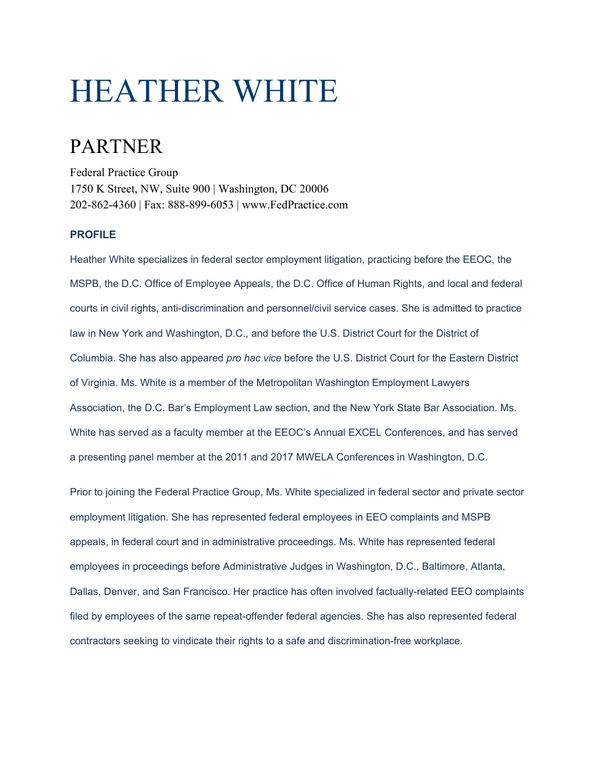# HEATHER WHITE

## PARTNER

Federal Practice Group 1750 K Street, NW, Suite 900 | Washington, DC 20006 202-862-4360 | Fax: 888-899-6053 | www.FedPractice.com

### **PROFILE**

Heather White specializes in federal sector employment litigation, practicing before the EEOC, the MSPB, the D.C. Office of Employee Appeals, the D.C. Office of Human Rights, and local and federal courts in civil rights, anti-discrimination and personnel/civil service cases. She is admitted to practice law in New York and Washington, D.C., and before the U.S. District Court for the District of Columbia. She has also appeared *pro hac vice* before the U.S. District Court for the Eastern District of Virginia. Ms. White is a member of the Metropolitan Washington Employment Lawyers Association, the D.C. Bar's Employment Law section, and the New York State Bar Association. Ms. White has served as a faculty member at the EEOC's Annual EXCEL Conferences, and has served a presenting panel member at the 2011 and 2017 MWELA Conferences in Washington, D.C.

Prior to joining the Federal Practice Group, Ms. White specialized in federal sector and private sector employment litigation. She has represented federal employees in EEO complaints and MSPB appeals, in federal court and in administrative proceedings. Ms. White has represented federal employees in proceedings before Administrative Judges in Washington, D.C., Baltimore, Atlanta, Dallas, Denver, and San Francisco. Her practice has often involved factually-related EEO complaints filed by employees of the same repeat-offender federal agencies. She has also represented federal contractors seeking to vindicate their rights to a safe and discrimination-free workplace.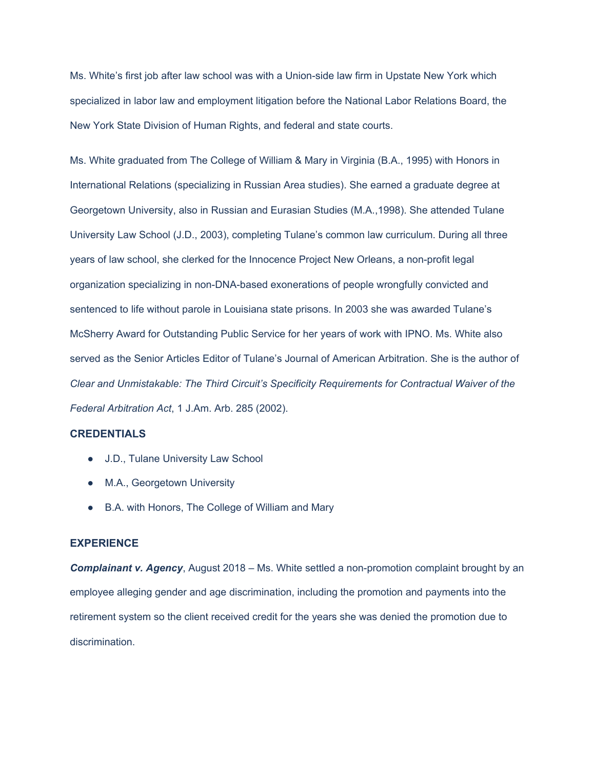Ms. White's first job after law school was with a Union-side law firm in Upstate New York which specialized in labor law and employment litigation before the National Labor Relations Board, the New York State Division of Human Rights, and federal and state courts.

Ms. White graduated from The College of William & Mary in Virginia (B.A., 1995) with Honors in International Relations (specializing in Russian Area studies). She earned a graduate degree at Georgetown University, also in Russian and Eurasian Studies (M.A.,1998). She attended Tulane University Law School (J.D., 2003), completing Tulane's common law curriculum. During all three years of law school, she clerked for the Innocence Project New Orleans, a non-profit legal organization specializing in non-DNA-based exonerations of people wrongfully convicted and sentenced to life without parole in Louisiana state prisons. In 2003 she was awarded Tulane's McSherry Award for Outstanding Public Service for her years of work with IPNO. Ms. White also served as the Senior Articles Editor of Tulane's Journal of American Arbitration. She is the author of *Clear and Unmistakable: The Third Circuit's Specificity Requirements for Contractual Waiver of the Federal Arbitration Act*, 1 J.Am. Arb. 285 (2002).

#### **CREDENTIALS**

- J.D., Tulane University Law School
- M.A., Georgetown University
- B.A. with Honors, The College of William and Mary

#### **EXPERIENCE**

**Complainant v. Agency**, August 2018 – Ms. White settled a non-promotion complaint brought by an employee alleging gender and age discrimination, including the promotion and payments into the retirement system so the client received credit for the years she was denied the promotion due to discrimination.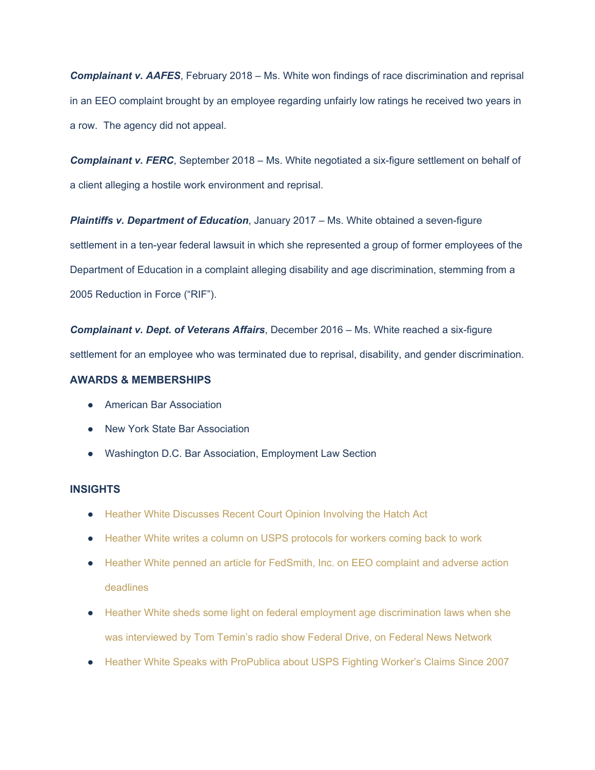*Complainant v. AAFES*, February 2018 – Ms. White won findings of race discrimination and reprisal in an EEO complaint brought by an employee regarding unfairly low ratings he received two years in a row. The agency did not appeal.

*Complainant v. FERC*, September 2018 – Ms. White negotiated a six-figure settlement on behalf of a client alleging a hostile work environment and reprisal.

*Plaintiffs v. Department of Education*, January 2017 – Ms. White obtained a seven-figure settlement in a ten-year federal lawsuit in which she represented a group of former employees of the Department of Education in a complaint alleging disability and age discrimination, stemming from a 2005 Reduction in Force ("RIF").

*Complainant v. Dept. of Veterans Affairs*, December 2016 – Ms. White reached a six-figure settlement for an employee who was terminated due to reprisal, disability, and gender discrimination.

#### **AWARDS & MEMBERSHIPS**

- American Bar Association
- New York State Bar Association
- Washington D.C. Bar Association, Employment Law Section

#### **INSIGHTS**

- [Heather White Discusses Recent Court Opinion Involving the Hatch Act](https://fedpractice.com/2020/08/07/heather-white-a-partner-at-the-federal-practice-group-discusses-a-recent-court-opinion-involving-the-hatch-act/)
- [Heather White writes a column on USPS protocols for workers coming back to work](https://fedpractice.com/2020/06/05/heather-white-a-partner-at-the-federal-practice-group-writes-a-column-on-usps-protocols-for-workers-coming-back-to-work/)
- [Heather White penned an article for](https://www.fedsmith.com/2020/04/02/only-things-immune-coronavirus-eeo-mspb-deadlines/?fbclid=IwAR21CMsV1QX3H-VlBsAiyxQEqsJ8eBrCcBXSwGFFCr6HQH1aYIyA2NXl-a4) [FedSmith, Inc.](https://www.facebook.com/fedsmith.inc/?__tn__=K-R&eid=ARDE7sm8WYttzv0k2mxiHg3Do-m1C6maeSo24n_ueic9gBNRDH3Efon8KPZD1U4bUsQXIFLWvpin-SDT&fref=mentions&__xts__%5B0%5D=68.ARADaSH9jQIrR8NjLPW0vE1T6FVcm-Wfh82JbhhQpQ9dfb8KcdbtKcy7onVm9CsTRQXn0QqoCUWD8ISzip6NwUTyFDyFs7RGenIkH3bEn3QDQN1l9mMHoo81wAhMtUu7-KJEENfdaCWCpy27ssTGTsrvU9aLeYiEf3DPJt0AR3m-kTNJjHSR3TiXw5O3zDxZ0gZ_4hwN_qGxEpi0H9vAVkVNFrM6vrh902dPAqrS-zC0YlWUISWdj1ur8zDjQwSkD3ZlGSEAEMgmFLr6BUbhLA9RAfddEEjU0OU770RZwIfxxVBvzXGjhDgoJCtpscjGIrOD1AqL4AfPOkvsECIwUOPlzQ) [on EEO complaint and adverse action](https://fedpractice.com/2020/04/17/government-contracting-coronavirus-and-the-defense-production-act/?fbclid=IwAR1DyDJKVPEu1sb7fbgXyjNFqCUrOScCo_nNhOrlq1rf7iTqF0qqIaRbL6U) [deadlines](https://fedpractice.com/2020/04/17/government-contracting-coronavirus-and-the-defense-production-act/?fbclid=IwAR1DyDJKVPEu1sb7fbgXyjNFqCUrOScCo_nNhOrlq1rf7iTqF0qqIaRbL6U)
- [Heather White sheds some light on federal employment age discrimination laws when she](https://federalnewsnetwork.com/workforce/2020/04/scotus-clarifies-age-discrimination-statute-for-feds/?fbclid=IwAR0Ibg9KrBZ_pHQYQXoozEeYPs0sbmtA7h3Edp3fkvee6PwvwF8zYnfjAD0) [was interviewed by Tom Temin's radio show Federal Drive, on](https://federalnewsnetwork.com/workforce/2020/04/scotus-clarifies-age-discrimination-statute-for-feds/?fbclid=IwAR0Ibg9KrBZ_pHQYQXoozEeYPs0sbmtA7h3Edp3fkvee6PwvwF8zYnfjAD0) [Federal News Network](https://www.facebook.com/FedNewsNetwork/?__tn__=K-R&eid=ARAsDciYRdIdnr_sCg3u5dkD6uQFBY4Dpl8VCQ0CaUULDKf3E-YrRgohj7BJjY8DiSwxwqkiaYgWbdo1&fref=mentions&__xts__%5B0%5D=68.ARDZXAAPWXT1vAG-mYSjOgixXkyS7jED3viQ0QhxN4JFrVkVd_5OnQ3Nbdp2itdIpvGvef6QNkTSY5N3udCTRHWQ05L_KffkjoIDj-J8aKGYfODc3EUFxZwD27JDrL6PG67zkYaCzChpJ1RzG68KxIiq1JUqhsUob_n0GZPlLzc2Y1mxInhhUanvJs9FOaeTcqeGRcauFrI0xFJtK5yDnypoxxCAaISBdGpOAlUHK5ZYKeqvbfitys3KIutlh14gRfGTfSuFA6yDGUIODEJkvmo5RCZ-78kpZN6QgKwW9JSM9Tjqg6v8VapxiQTDTK3QVHlXIgi7y0ZxVK4KGy2p7zykgw)
- [Heather White Speaks with ProPublica about USPS Fighting Worker's Claims Since 2007](https://fedpractice.com/2020/02/24/heather-white-a-partner-at-the-federal-practice-group-speaks-with-propublica-about-usps-fighting-workerss-claims-since-2007/)